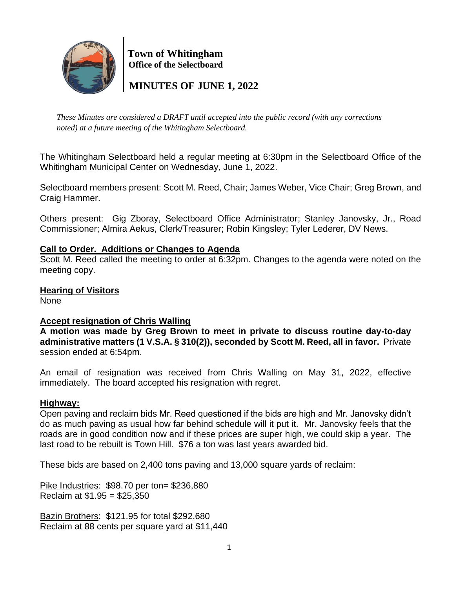

 **Town of Whitingham Office of the Selectboard**

 **MINUTES OF JUNE 1, 2022**

*These Minutes are considered a DRAFT until accepted into the public record (with any corrections noted) at a future meeting of the Whitingham Selectboard.*

The Whitingham Selectboard held a regular meeting at 6:30pm in the Selectboard Office of the Whitingham Municipal Center on Wednesday, June 1, 2022.

Selectboard members present: Scott M. Reed, Chair; James Weber, Vice Chair; Greg Brown, and Craig Hammer.

Others present: Gig Zboray, Selectboard Office Administrator; Stanley Janovsky, Jr., Road Commissioner; Almira Aekus, Clerk/Treasurer; Robin Kingsley; Tyler Lederer, DV News.

## **Call to Order. Additions or Changes to Agenda**

Scott M. Reed called the meeting to order at 6:32pm. Changes to the agenda were noted on the meeting copy.

**Hearing of Visitors**

None

# **Accept resignation of Chris Walling**

**A motion was made by Greg Brown to meet in private to discuss routine day-to-day administrative matters (1 V.S.A. § 310(2)), seconded by Scott M. Reed, all in favor.** Private session ended at 6:54pm.

An email of resignation was received from Chris Walling on May 31, 2022, effective immediately. The board accepted his resignation with regret.

## **Highway:**

Open paving and reclaim bids Mr. Reed questioned if the bids are high and Mr. Janovsky didn't do as much paving as usual how far behind schedule will it put it. Mr. Janovsky feels that the roads are in good condition now and if these prices are super high, we could skip a year. The last road to be rebuilt is Town Hill. \$76 a ton was last years awarded bid.

These bids are based on 2,400 tons paving and 13,000 square yards of reclaim:

Pike Industries: \$98.70 per ton= \$236,880 Reclaim at \$1.95 = \$25,350

Bazin Brothers: \$121.95 for total \$292,680 Reclaim at 88 cents per square yard at \$11,440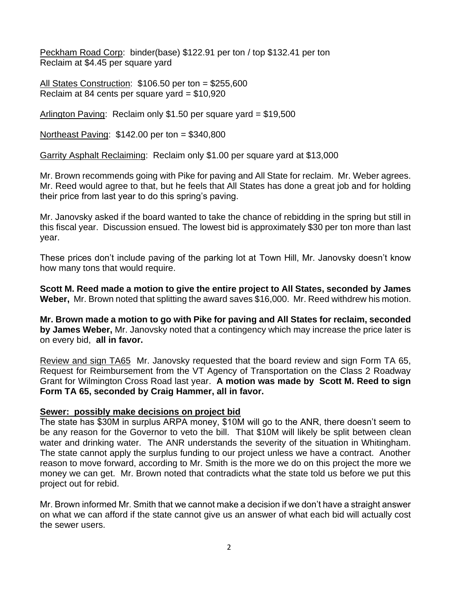Peckham Road Corp: binder(base) \$122.91 per ton / top \$132.41 per ton Reclaim at \$4.45 per square yard

All States Construction: \$106.50 per ton = \$255,600 Reclaim at 84 cents per square yard = \$10,920

Arlington Paving: Reclaim only \$1.50 per square yard = \$19,500

Northeast Paving: \$142.00 per ton = \$340,800

Garrity Asphalt Reclaiming: Reclaim only \$1.00 per square yard at \$13,000

Mr. Brown recommends going with Pike for paving and All State for reclaim. Mr. Weber agrees. Mr. Reed would agree to that, but he feels that All States has done a great job and for holding their price from last year to do this spring's paving.

Mr. Janovsky asked if the board wanted to take the chance of rebidding in the spring but still in this fiscal year. Discussion ensued. The lowest bid is approximately \$30 per ton more than last year.

These prices don't include paving of the parking lot at Town Hill, Mr. Janovsky doesn't know how many tons that would require.

**Scott M. Reed made a motion to give the entire project to All States, seconded by James Weber,** Mr. Brown noted that splitting the award saves \$16,000. Mr. Reed withdrew his motion.

**Mr. Brown made a motion to go with Pike for paving and All States for reclaim, seconded by James Weber,** Mr. Janovsky noted that a contingency which may increase the price later is on every bid, **all in favor.**

Review and sign TA65 Mr. Janovsky requested that the board review and sign Form TA 65, Request for Reimbursement from the VT Agency of Transportation on the Class 2 Roadway Grant for Wilmington Cross Road last year. **A motion was made by Scott M. Reed to sign Form TA 65, seconded by Craig Hammer, all in favor.**

#### **Sewer: possibly make decisions on project bid**

The state has \$30M in surplus ARPA money, \$10M will go to the ANR, there doesn't seem to be any reason for the Governor to veto the bill. That \$10M will likely be split between clean water and drinking water. The ANR understands the severity of the situation in Whitingham. The state cannot apply the surplus funding to our project unless we have a contract. Another reason to move forward, according to Mr. Smith is the more we do on this project the more we money we can get. Mr. Brown noted that contradicts what the state told us before we put this project out for rebid.

Mr. Brown informed Mr. Smith that we cannot make a decision if we don't have a straight answer on what we can afford if the state cannot give us an answer of what each bid will actually cost the sewer users.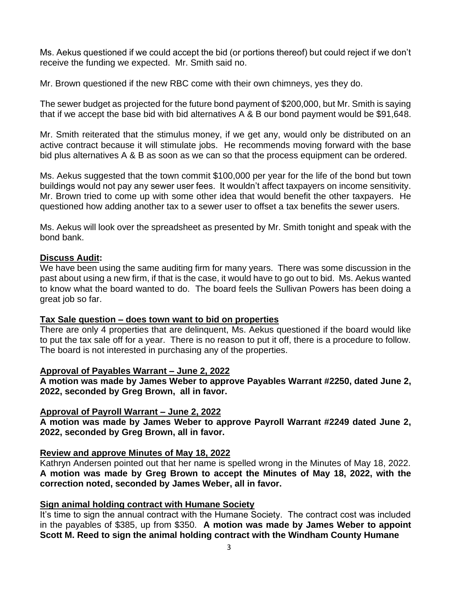Ms. Aekus questioned if we could accept the bid (or portions thereof) but could reject if we don't receive the funding we expected. Mr. Smith said no.

Mr. Brown questioned if the new RBC come with their own chimneys, yes they do.

The sewer budget as projected for the future bond payment of \$200,000, but Mr. Smith is saying that if we accept the base bid with bid alternatives A & B our bond payment would be \$91,648.

Mr. Smith reiterated that the stimulus money, if we get any, would only be distributed on an active contract because it will stimulate jobs. He recommends moving forward with the base bid plus alternatives A & B as soon as we can so that the process equipment can be ordered.

Ms. Aekus suggested that the town commit \$100,000 per year for the life of the bond but town buildings would not pay any sewer user fees. It wouldn't affect taxpayers on income sensitivity. Mr. Brown tried to come up with some other idea that would benefit the other taxpayers. He questioned how adding another tax to a sewer user to offset a tax benefits the sewer users.

Ms. Aekus will look over the spreadsheet as presented by Mr. Smith tonight and speak with the bond bank.

#### **Discuss Audit:**

We have been using the same auditing firm for many years. There was some discussion in the past about using a new firm, if that is the case, it would have to go out to bid. Ms. Aekus wanted to know what the board wanted to do. The board feels the Sullivan Powers has been doing a great job so far.

#### **Tax Sale question – does town want to bid on properties**

There are only 4 properties that are delinquent, Ms. Aekus questioned if the board would like to put the tax sale off for a year. There is no reason to put it off, there is a procedure to follow. The board is not interested in purchasing any of the properties.

#### **Approval of Payables Warrant – June 2, 2022**

**A motion was made by James Weber to approve Payables Warrant #2250, dated June 2, 2022, seconded by Greg Brown, all in favor.**

## **Approval of Payroll Warrant – June 2, 2022**

**A motion was made by James Weber to approve Payroll Warrant #2249 dated June 2, 2022, seconded by Greg Brown, all in favor.**

## **Review and approve Minutes of May 18, 2022**

Kathryn Andersen pointed out that her name is spelled wrong in the Minutes of May 18, 2022. **A motion was made by Greg Brown to accept the Minutes of May 18, 2022, with the correction noted, seconded by James Weber, all in favor.**

## **Sign animal holding contract with Humane Society**

It's time to sign the annual contract with the Humane Society. The contract cost was included in the payables of \$385, up from \$350. **A motion was made by James Weber to appoint Scott M. Reed to sign the animal holding contract with the Windham County Humane**